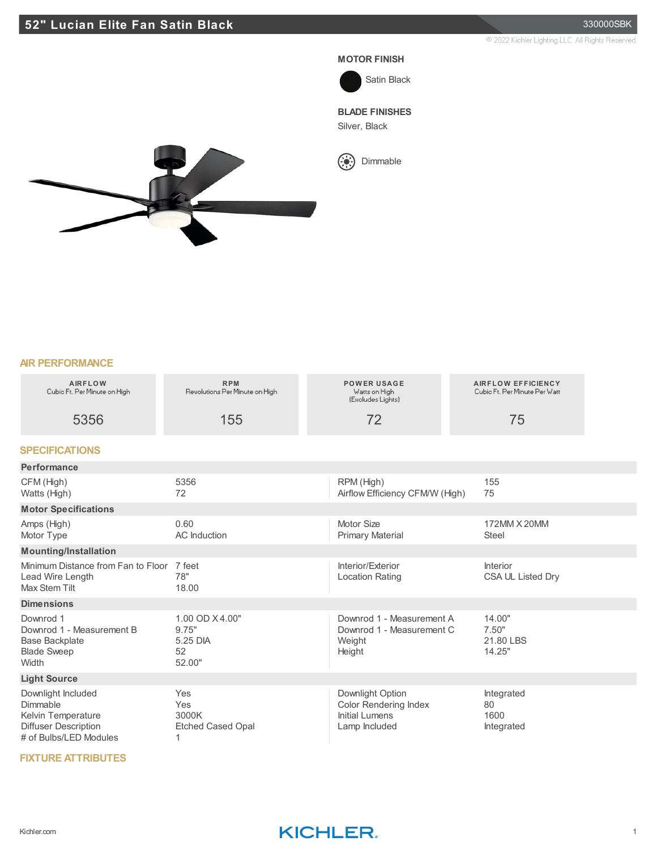#### **MOTOR FINISH**



**BLADE FINISHES**

Silver, Black



# **AIR PERFORMANCE**

| ריו דבואו טואוריזיט                                                                                           |                                                      |                                                                                     |                                                            |  |
|---------------------------------------------------------------------------------------------------------------|------------------------------------------------------|-------------------------------------------------------------------------------------|------------------------------------------------------------|--|
| <b>AIRFLOW</b><br>Cubic Ft. Per Minute on High                                                                | <b>RPM</b><br>Revolutions Per Minute on High         | <b>POWER USAGE</b><br>Watts on High<br>(Excludes Lights)                            | <b>AIRFLOW EFFICIENCY</b><br>Cubio Ft. Per Minute Per Watt |  |
| 5356                                                                                                          | 155                                                  | 72                                                                                  | 75                                                         |  |
| <b>SPECIFICATIONS</b>                                                                                         |                                                      |                                                                                     |                                                            |  |
| Performance                                                                                                   |                                                      |                                                                                     |                                                            |  |
| CFM (High)<br>Watts (High)                                                                                    | 5356<br>72                                           | RPM (High)<br>Airflow Efficiency CFM/W (High)                                       | 155<br>75                                                  |  |
| <b>Motor Specifications</b>                                                                                   |                                                      |                                                                                     |                                                            |  |
| Amps (High)<br>Motor Type                                                                                     | 0.60<br><b>AC</b> Induction                          | Motor Size<br><b>Primary Material</b>                                               | 172MM X 20MM<br><b>Steel</b>                               |  |
| <b>Mounting/Installation</b>                                                                                  |                                                      |                                                                                     |                                                            |  |
| Minimum Distance from Fan to Floor 7 feet<br>Lead Wire Length<br>Max Stem Tilt                                | 78"<br>18.00                                         | Interior/Exterior<br><b>Location Rating</b>                                         | Interior<br>CSA UL Listed Dry                              |  |
| <b>Dimensions</b>                                                                                             |                                                      |                                                                                     |                                                            |  |
| Downrod 1<br>Downrod 1 - Measurement B<br>Base Backplate<br><b>Blade Sweep</b><br>Width                       | 1.00 OD X4.00"<br>9.75"<br>5.25 DIA<br>52<br>52.00"  | Downrod 1 - Measurement A<br>Downrod 1 - Measurement C<br>Weight<br>Height          | 14.00"<br>7.50"<br>21.80 LBS<br>14.25"                     |  |
| <b>Light Source</b>                                                                                           |                                                      |                                                                                     |                                                            |  |
| Downlight Included<br>Dimmable<br>Kelvin Temperature<br><b>Diffuser Description</b><br># of Bulbs/LED Modules | Yes<br>Yes<br>3000K<br><b>Etched Cased Opal</b><br>1 | Downlight Option<br><b>Color Rendering Index</b><br>Initial Lumens<br>Lamp Included | Integrated<br>80<br>1600<br>Integrated                     |  |

### **FIXTURE ATTRIBUTES**

## Kichler.com **KICHLER**